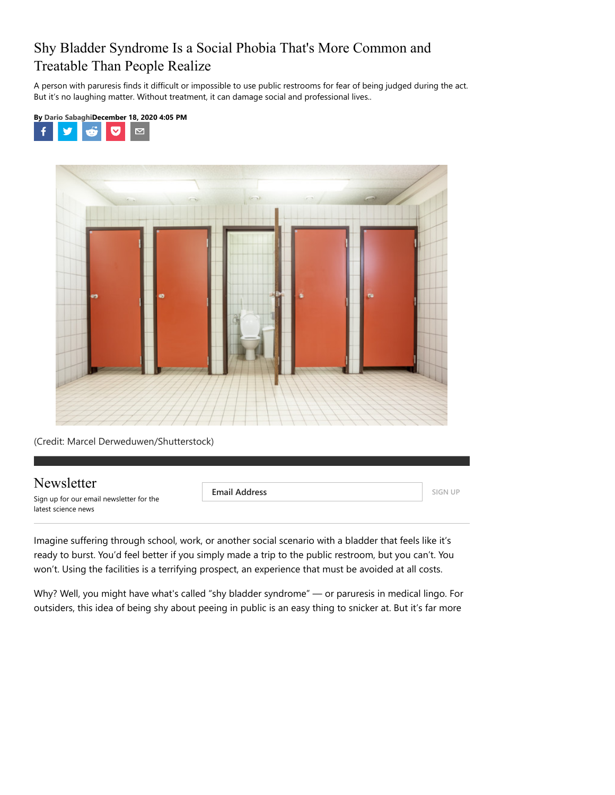### Shy Bladder Syndrome Is a Social Phobia That's More Common and Treatable Than People Realize

A person with paruresis finds it difficult or impossible to use public restrooms for fear of being judged during the act. But it's no laughing matter. Without treatment, it can damage social and professional lives..





(Credit: Marcel Derweduwen/Shutterstock)

#### Newsletter

Sign up for our email newsletter for the latest science news

**Email Address SIGN UP** 

Imagine suffering through school, work, or another social scenario with a bladder that feels like it's ready to burst. You'd feel better if you simply made a trip to the public restroom, but you can't. You won't. Using the facilities is a terrifying prospect, an experience that must be avoided at all costs.

Why? Well, you might have what's called "shy bladder syndrome" — or paruresis in medical lingo. For outsiders, this idea of being shy about peeing in public is an easy thing to snicker at. But it's far more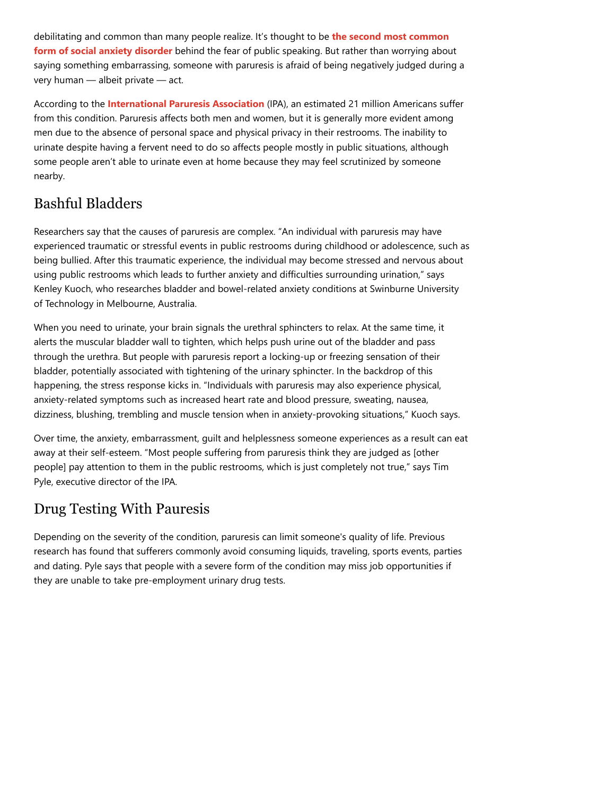[debilitating and common than many people realize. It's thought to be](https://www.betterhealth.vic.gov.au/health/conditionsandtreatments/shy-bladder-syndrome#:~:text=About%20paruresis,-A%20person%20with&text=Paruresis%20is%20believed%20to%20be%20a%20common%20type%20of%20social,often%20first%20experienced%20at%20school.) **the second most common form of social anxiety disorder** behind the fear of public speaking. But rather than worrying about saying something embarrassing, someone with paruresis is afraid of being negatively judged during a very human — albeit private — act.

According to the **[International Paruresis Association](https://paruresis.org/)** (IPA), an estimated 21 million Americans suffer from this condition. Paruresis affects both men and women, but it is generally more evident among men due to the absence of personal space and physical privacy in their restrooms. The inability to urinate despite having a fervent need to do so affects people mostly in public situations, although some people aren't able to urinate even at home because they may feel scrutinized by someone nearby.

## Bashful Bladders

Researchers say that the causes of paruresis are complex. "An individual with paruresis may have experienced traumatic or stressful events in public restrooms during childhood or adolescence, such as being bullied. After this traumatic experience, the individual may become stressed and nervous about using public restrooms which leads to further anxiety and difficulties surrounding urination," says Kenley Kuoch, who researches bladder and bowel-related anxiety conditions at Swinburne University of Technology in Melbourne, Australia.

When you need to urinate, your brain signals the urethral sphincters to relax. At the same time, it alerts the muscular bladder wall to tighten, which helps push urine out of the bladder and pass through the urethra. But people with paruresis report a locking-up or freezing sensation of their bladder, potentially associated with tightening of the urinary sphincter. In the backdrop of this happening, the stress response kicks in. "Individuals with paruresis may also experience physical, anxiety-related symptoms such as increased heart rate and blood pressure, sweating, nausea, dizziness, blushing, trembling and muscle tension when in anxiety-provoking situations," Kuoch says.

Over time, the anxiety, embarrassment, guilt and helplessness someone experiences as a result can eat away at their self-esteem. "Most people suffering from paruresis think they are judged as [other people] pay attention to them in the public restrooms, which is just completely not true," says Tim Pyle, executive director of the IPA.

## Drug Testing With Pauresis

Depending on the severity of the condition, paruresis can limit someone's quality of life. Previous research has found that sufferers commonly avoid consuming liquids, traveling, sports events, parties and dating. Pyle says that people with a severe form of the condition may miss job opportunities if they are unable to take pre-employment urinary drug tests.